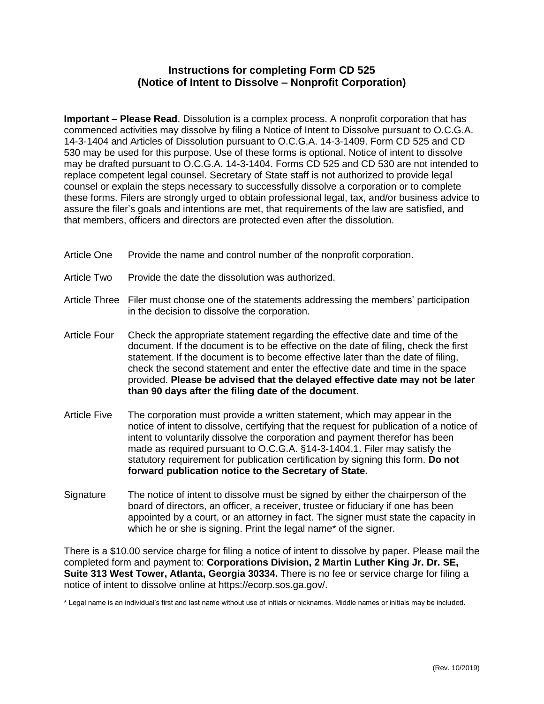## **Instructions for completing Form CD 525 (Notice of Intent to Dissolve – Nonprofit Corporation)**

**Important – Please Read**. Dissolution is a complex process. A nonprofit corporation that has commenced activities may dissolve by filing a Notice of Intent to Dissolve pursuant to O.C.G.A. [14-3-1404](http://www.sos.state.ga.us/cgi-bin/external.asp?link=www.legis.state.ga.us/cgi-bin/gl_codes_detail.pl?code=14-2-1403) and Articles of Dissolution pursuant to O.C.G.A. [14-3-1409.](http://www.sos.state.ga.us/cgi-bin/external.asp?link=www.legis.state.ga.us/cgi-bin/gl_codes_detail.pl?code=14-2-1408) Form CD 525 and CD 530 may be used for this purpose. Use of these forms is optional. Notice of intent to dissolve may be drafted pursuant to O.C.G.A. 14-3-1404. Forms CD 525 and CD 530 are not intended to replace competent legal counsel. Secretary of State staff is not authorized to provide legal counsel or explain the steps necessary to successfully dissolve a corporation or to complete these forms. Filers are strongly urged to obtain professional legal, tax, and/or business advice to assure the filer's goals and intentions are met, that requirements of the law are satisfied, and that members, officers and directors are protected even after the dissolution.

- Article One Provide the name and control number of the nonprofit corporation.
- Article Two Provide the date the dissolution was authorized.
- Article Three Filer must choose one of the statements addressing the members' participation in the decision to dissolve the corporation.
- Article Four Check the appropriate statement regarding the effective date and time of the document. If the document is to be effective on the date of filing, check the first statement. If the document is to become effective later than the date of filing, check the second statement and enter the effective date and time in the space provided. **Please be advised that the delayed effective date may not be later than 90 days after the filing date of the document**.
- Article Five The corporation must provide a written statement, which may appear in the notice of intent to dissolve, certifying that the request for publication of a notice of intent to voluntarily dissolve the corporation and payment therefor has been made as required pursuant to O.C.G.A. §14-3-1404.1. Filer may satisfy the statutory requirement for publication certification by signing this form. **Do not forward publication notice to the Secretary of State.**
- Signature The notice of intent to dissolve must be signed by either the chairperson of the board of directors, an officer, a receiver, trustee or fiduciary if one has been appointed by a court, or an attorney in fact. The signer must state the capacity in which he or she is signing. Print the legal name\* of the signer.

There is a \$10.00 service charge for filing a notice of intent to dissolve by paper. Please mail the completed form and payment to: **Corporations Division, 2 Martin Luther King Jr. Dr. SE, Suite 313 West Tower, Atlanta, Georgia 30334.** There is no fee or service charge for filing a notice of intent to dissolve online at https://ecorp.sos.ga.gov/.

\* Legal name is an individual's first and last name without use of initials or nicknames. Middle names or initials may be included.